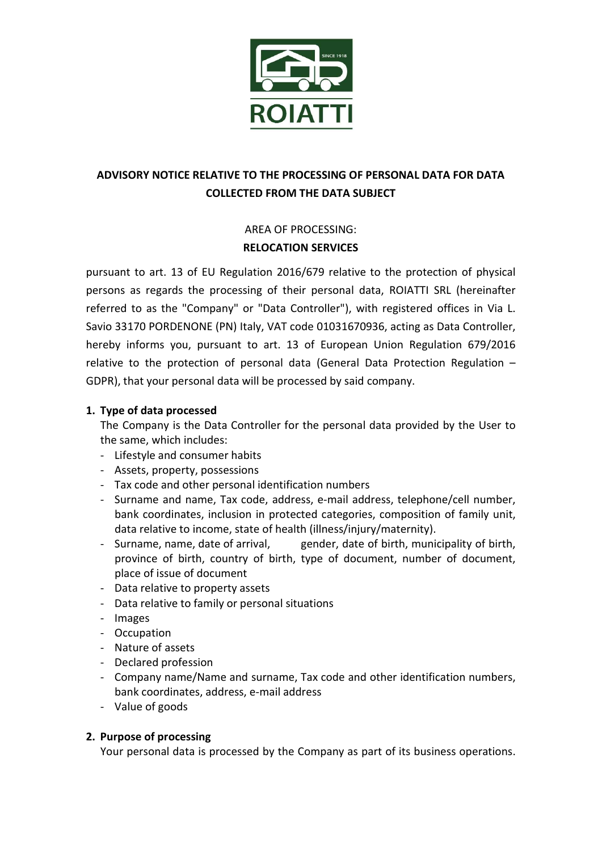

# ADVISORY NOTICE RELATIVE TO THE PROCESSING OF PERSONAL DATA FOR DATA COLLECTED FROM THE DATA SUBJECT

## AREA OF PROCESSING: RELOCATION SERVICES

pursuant to art. 13 of EU Regulation 2016/679 relative to the protection of physical persons as regards the processing of their personal data, ROIATTI SRL (hereinafter referred to as the "Company" or "Data Controller"), with registered offices in Via L. Savio 33170 PORDENONE (PN) Italy, VAT code 01031670936, acting as Data Controller, hereby informs you, pursuant to art. 13 of European Union Regulation 679/2016 relative to the protection of personal data (General Data Protection Regulation – GDPR), that your personal data will be processed by said company.

## 1. Type of data processed

The Company is the Data Controller for the personal data provided by the User to the same, which includes:

- Lifestyle and consumer habits
- Assets, property, possessions
- Tax code and other personal identification numbers
- Surname and name, Tax code, address, e-mail address, telephone/cell number, bank coordinates, inclusion in protected categories, composition of family unit, data relative to income, state of health (illness/injury/maternity).
- Surname, name, date of arrival, gender, date of birth, municipality of birth, province of birth, country of birth, type of document, number of document, place of issue of document
- Data relative to property assets
- Data relative to family or personal situations
- Images
- Occupation
- Nature of assets
- Declared profession
- Company name/Name and surname, Tax code and other identification numbers, bank coordinates, address, e-mail address
- Value of goods

## 2. Purpose of processing

Your personal data is processed by the Company as part of its business operations.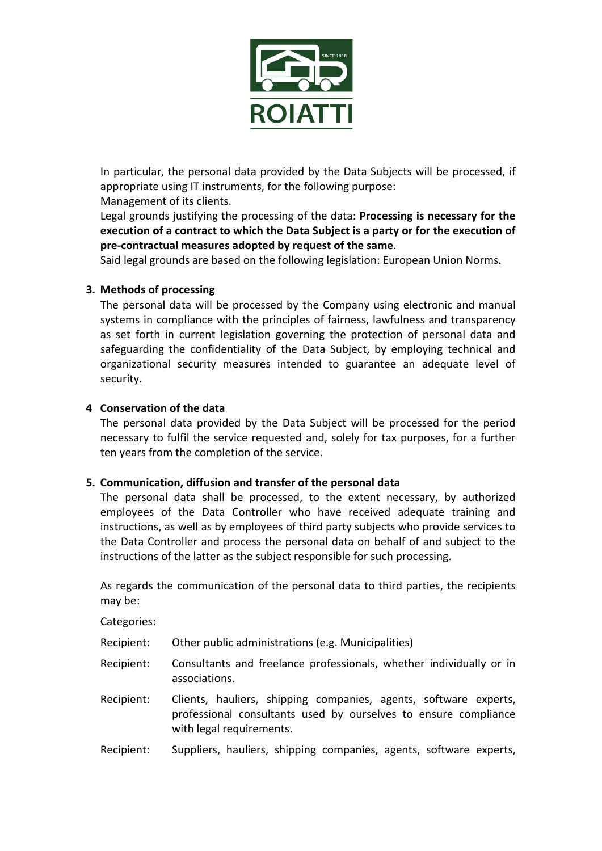

In particular, the personal data provided by the Data Subjects will be processed, if appropriate using IT instruments, for the following purpose:

Management of its clients.

Legal grounds justifying the processing of the data: Processing is necessary for the execution of a contract to which the Data Subject is a party or for the execution of pre-contractual measures adopted by request of the same.

Said legal grounds are based on the following legislation: European Union Norms.

## 3. Methods of processing

The personal data will be processed by the Company using electronic and manual systems in compliance with the principles of fairness, lawfulness and transparency as set forth in current legislation governing the protection of personal data and safeguarding the confidentiality of the Data Subject, by employing technical and organizational security measures intended to guarantee an adequate level of security.

## 4 Conservation of the data

The personal data provided by the Data Subject will be processed for the period necessary to fulfil the service requested and, solely for tax purposes, for a further ten years from the completion of the service.

## 5. Communication, diffusion and transfer of the personal data

The personal data shall be processed, to the extent necessary, by authorized employees of the Data Controller who have received adequate training and instructions, as well as by employees of third party subjects who provide services to the Data Controller and process the personal data on behalf of and subject to the instructions of the latter as the subject responsible for such processing.

As regards the communication of the personal data to third parties, the recipients may be:

Categories:

- Recipient: Other public administrations (e.g. Municipalities)
- Recipient: Consultants and freelance professionals, whether individually or in associations.
- Recipient: Clients, hauliers, shipping companies, agents, software experts, professional consultants used by ourselves to ensure compliance with legal requirements.
- Recipient: Suppliers, hauliers, shipping companies, agents, software experts,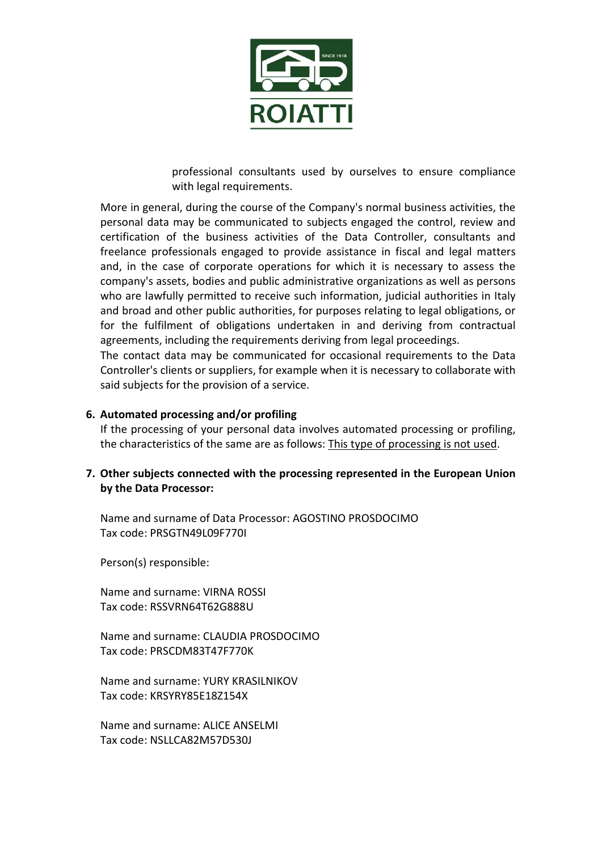

professional consultants used by ourselves to ensure compliance with legal requirements.

More in general, during the course of the Company's normal business activities, the personal data may be communicated to subjects engaged the control, review and certification of the business activities of the Data Controller, consultants and freelance professionals engaged to provide assistance in fiscal and legal matters and, in the case of corporate operations for which it is necessary to assess the company's assets, bodies and public administrative organizations as well as persons who are lawfully permitted to receive such information, judicial authorities in Italy and broad and other public authorities, for purposes relating to legal obligations, or for the fulfilment of obligations undertaken in and deriving from contractual agreements, including the requirements deriving from legal proceedings.

The contact data may be communicated for occasional requirements to the Data Controller's clients or suppliers, for example when it is necessary to collaborate with said subjects for the provision of a service.

#### 6. Automated processing and/or profiling

If the processing of your personal data involves automated processing or profiling, the characteristics of the same are as follows: This type of processing is not used.

## 7. Other subjects connected with the processing represented in the European Union by the Data Processor:

Name and surname of Data Processor: AGOSTINO PROSDOCIMO Tax code: PRSGTN49L09F770I

Person(s) responsible:

Name and surname: VIRNA ROSSI Tax code: RSSVRN64T62G888U

Name and surname: CLAUDIA PROSDOCIMO Tax code: PRSCDM83T47F770K

Name and surname: YURY KRASILNIKOV Tax code: KRSYRY85E18Z154X

Name and surname: ALICE ANSELMI Tax code: NSLLCA82M57D530J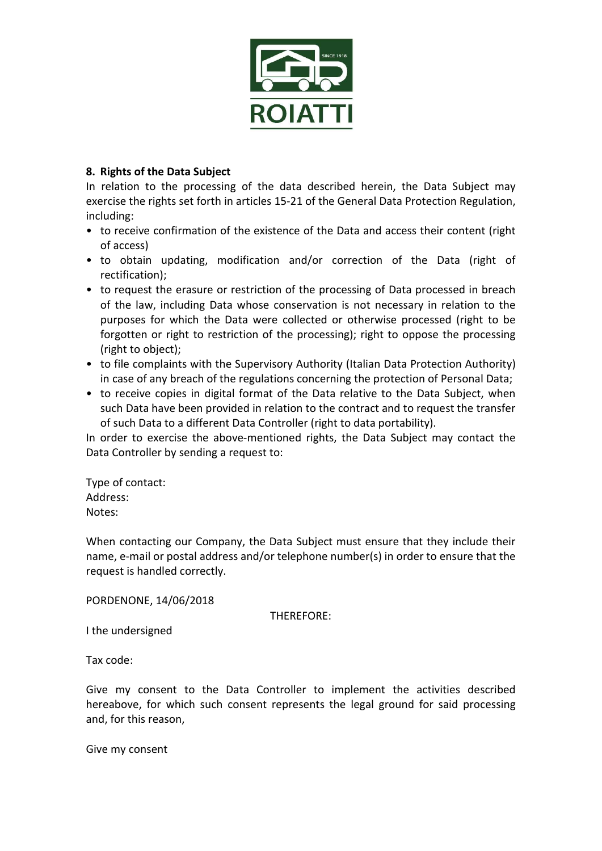

## 8. Rights of the Data Subject

In relation to the processing of the data described herein, the Data Subject may exercise the rights set forth in articles 15-21 of the General Data Protection Regulation, including:

- to receive confirmation of the existence of the Data and access their content (right of access)
- to obtain updating, modification and/or correction of the Data (right of rectification);
- to request the erasure or restriction of the processing of Data processed in breach of the law, including Data whose conservation is not necessary in relation to the purposes for which the Data were collected or otherwise processed (right to be forgotten or right to restriction of the processing); right to oppose the processing (right to object);
- to file complaints with the Supervisory Authority (Italian Data Protection Authority) in case of any breach of the regulations concerning the protection of Personal Data;
- to receive copies in digital format of the Data relative to the Data Subject, when such Data have been provided in relation to the contract and to request the transfer of such Data to a different Data Controller (right to data portability).

In order to exercise the above-mentioned rights, the Data Subject may contact the Data Controller by sending a request to:

Type of contact: Address: Notes:

When contacting our Company, the Data Subject must ensure that they include their name, e-mail or postal address and/or telephone number(s) in order to ensure that the request is handled correctly.

PORDENONE, 14/06/2018

THEREFORE:

I the undersigned

Tax code:

Give my consent to the Data Controller to implement the activities described hereabove, for which such consent represents the legal ground for said processing and, for this reason,

Give my consent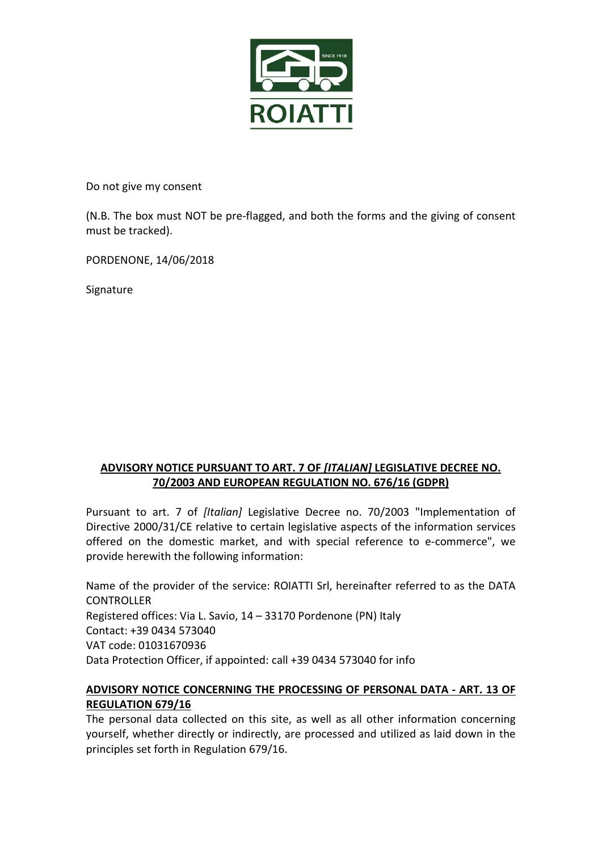

Do not give my consent

(N.B. The box must NOT be pre-flagged, and both the forms and the giving of consent must be tracked).

PORDENONE, 14/06/2018

Signature

## ADVISORY NOTICE PURSUANT TO ART. 7 OF [ITALIAN] LEGISLATIVE DECREE NO. 70/2003 AND EUROPEAN REGULATION NO. 676/16 (GDPR)

Pursuant to art. 7 of *[Italian]* Legislative Decree no. 70/2003 "Implementation of Directive 2000/31/CE relative to certain legislative aspects of the information services offered on the domestic market, and with special reference to e-commerce", we provide herewith the following information:

Name of the provider of the service: ROIATTI Srl, hereinafter referred to as the DATA **CONTROLLER** Registered offices: Via L. Savio, 14 – 33170 Pordenone (PN) Italy Contact: +39 0434 573040 VAT code: 01031670936 Data Protection Officer, if appointed: call +39 0434 573040 for info

## ADVISORY NOTICE CONCERNING THE PROCESSING OF PERSONAL DATA - ART. 13 OF REGULATION 679/16

The personal data collected on this site, as well as all other information concerning yourself, whether directly or indirectly, are processed and utilized as laid down in the principles set forth in Regulation 679/16.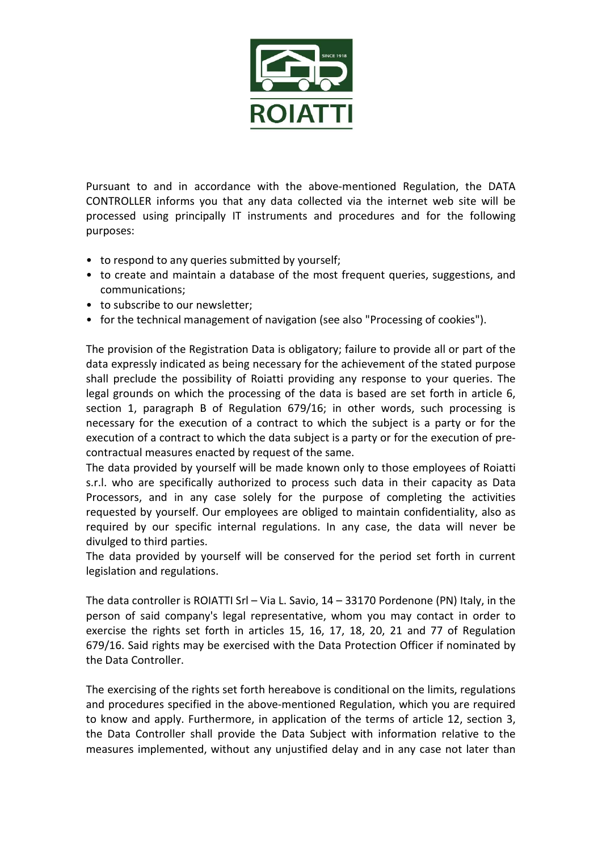

Pursuant to and in accordance with the above-mentioned Regulation, the DATA CONTROLLER informs you that any data collected via the internet web site will be processed using principally IT instruments and procedures and for the following purposes:

- to respond to any queries submitted by yourself;
- to create and maintain a database of the most frequent queries, suggestions, and communications;
- to subscribe to our newsletter;
- for the technical management of navigation (see also "Processing of cookies").

The provision of the Registration Data is obligatory; failure to provide all or part of the data expressly indicated as being necessary for the achievement of the stated purpose shall preclude the possibility of Roiatti providing any response to your queries. The legal grounds on which the processing of the data is based are set forth in article 6, section 1, paragraph B of Regulation 679/16; in other words, such processing is necessary for the execution of a contract to which the subject is a party or for the execution of a contract to which the data subject is a party or for the execution of precontractual measures enacted by request of the same.

The data provided by yourself will be made known only to those employees of Roiatti s.r.l. who are specifically authorized to process such data in their capacity as Data Processors, and in any case solely for the purpose of completing the activities requested by yourself. Our employees are obliged to maintain confidentiality, also as required by our specific internal regulations. In any case, the data will never be divulged to third parties.

The data provided by yourself will be conserved for the period set forth in current legislation and regulations.

The data controller is ROIATTI Srl – Via L. Savio, 14 – 33170 Pordenone (PN) Italy, in the person of said company's legal representative, whom you may contact in order to exercise the rights set forth in articles 15, 16, 17, 18, 20, 21 and 77 of Regulation 679/16. Said rights may be exercised with the Data Protection Officer if nominated by the Data Controller.

The exercising of the rights set forth hereabove is conditional on the limits, regulations and procedures specified in the above-mentioned Regulation, which you are required to know and apply. Furthermore, in application of the terms of article 12, section 3, the Data Controller shall provide the Data Subject with information relative to the measures implemented, without any unjustified delay and in any case not later than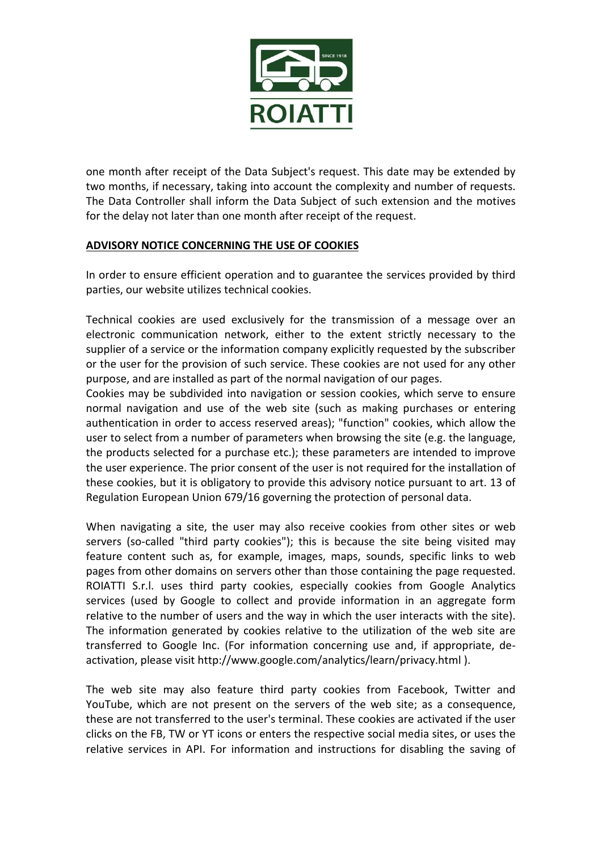

one month after receipt of the Data Subject's request. This date may be extended by two months, if necessary, taking into account the complexity and number of requests. The Data Controller shall inform the Data Subject of such extension and the motives for the delay not later than one month after receipt of the request.

## ADVISORY NOTICE CONCERNING THE USE OF COOKIES

In order to ensure efficient operation and to guarantee the services provided by third parties, our website utilizes technical cookies.

Technical cookies are used exclusively for the transmission of a message over an electronic communication network, either to the extent strictly necessary to the supplier of a service or the information company explicitly requested by the subscriber or the user for the provision of such service. These cookies are not used for any other purpose, and are installed as part of the normal navigation of our pages.

Cookies may be subdivided into navigation or session cookies, which serve to ensure normal navigation and use of the web site (such as making purchases or entering authentication in order to access reserved areas); "function" cookies, which allow the user to select from a number of parameters when browsing the site (e.g. the language, the products selected for a purchase etc.); these parameters are intended to improve the user experience. The prior consent of the user is not required for the installation of these cookies, but it is obligatory to provide this advisory notice pursuant to art. 13 of Regulation European Union 679/16 governing the protection of personal data.

When navigating a site, the user may also receive cookies from other sites or web servers (so-called "third party cookies"); this is because the site being visited may feature content such as, for example, images, maps, sounds, specific links to web pages from other domains on servers other than those containing the page requested. ROIATTI S.r.l. uses third party cookies, especially cookies from Google Analytics services (used by Google to collect and provide information in an aggregate form relative to the number of users and the way in which the user interacts with the site). The information generated by cookies relative to the utilization of the web site are transferred to Google Inc. (For information concerning use and, if appropriate, deactivation, please visit http://www.google.com/analytics/learn/privacy.html ).

The web site may also feature third party cookies from Facebook, Twitter and YouTube, which are not present on the servers of the web site; as a consequence, these are not transferred to the user's terminal. These cookies are activated if the user clicks on the FB, TW or YT icons or enters the respective social media sites, or uses the relative services in API. For information and instructions for disabling the saving of